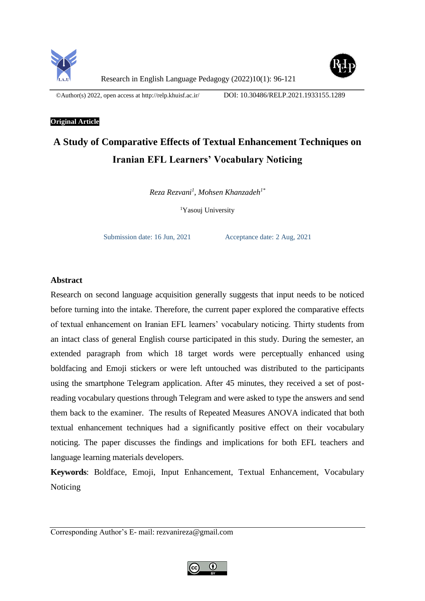



©Author(s) 2022, open access a[t http://relp.khuisf.ac.ir/](http://relp.khuisf.ac.ir/) DOI: 10.30486/RELP.2021.1933155.1289

# **Original Article**

# **A Study of Comparative Effects of Textual Enhancement Techniques on Iranian EFL Learners' Vocabulary Noticing**

*Reza Rezvani<sup>1</sup> , Mohsen Khanzadeh1\**

<sup>1</sup>Yasouj University

Submission date: 16 Jun, 2021 Acceptance date: 2 Aug, 2021

# **Abstract**

Research on second language acquisition generally suggests that input needs to be noticed before turning into the intake. Therefore, the current paper explored the comparative effects of textual enhancement on Iranian EFL learners' vocabulary noticing. Thirty students from an intact class of general English course participated in this study. During the semester, an extended paragraph from which 18 target words were perceptually enhanced using boldfacing and Emoji stickers or were left untouched was distributed to the participants using the smartphone Telegram application. After 45 minutes, they received a set of postreading vocabulary questions through Telegram and were asked to type the answers and send them back to the examiner. The results of Repeated Measures ANOVA indicated that both textual enhancement techniques had a significantly positive effect on their vocabulary noticing. The paper discusses the findings and implications for both EFL teachers and language learning materials developers.

**Keywords**: Boldface, Emoji, Input Enhancement, Textual Enhancement, Vocabulary Noticing

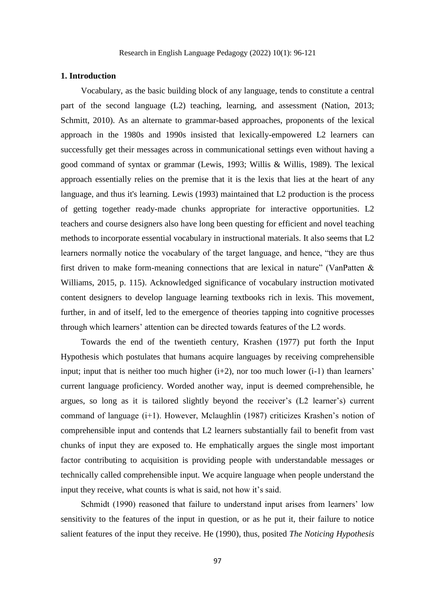#### **1. Introduction**

Vocabulary, as the basic building block of any language, tends to constitute a central part of the second language (L2) teaching, learning, and assessment (Nation, 2013; Schmitt, 2010). As an alternate to grammar-based approaches, proponents of the lexical approach in the 1980s and 1990s insisted that lexically-empowered L2 learners can successfully get their messages across in communicational settings even without having a good command of syntax or grammar (Lewis, 1993; Willis & Willis, 1989). The lexical approach essentially relies on the premise that it is the lexis that lies at the heart of any language, and thus it's learning. Lewis (1993) maintained that L2 production is the process of getting together ready-made chunks appropriate for interactive opportunities. L2 teachers and course designers also have long been questing for efficient and novel teaching methods to incorporate essential vocabulary in instructional materials. It also seems that L2 learners normally notice the vocabulary of the target language, and hence, "they are thus first driven to make form-meaning connections that are lexical in nature" (VanPatten  $\&$ Williams, 2015, p. 115). Acknowledged significance of vocabulary instruction motivated content designers to develop language learning textbooks rich in lexis. This movement, further, in and of itself, led to the emergence of theories tapping into cognitive processes through which learners' attention can be directed towards features of the L2 words.

Towards the end of the twentieth century, Krashen (1977) put forth the Input Hypothesis which postulates that humans acquire languages by receiving comprehensible input; input that is neither too much higher  $(i+2)$ , nor too much lower  $(i-1)$  than learners' current language proficiency. Worded another way, input is deemed comprehensible, he argues, so long as it is tailored slightly beyond the receiver's (L2 learner's) current command of language (i+1). However, Mclaughlin (1987) criticizes Krashen's notion of comprehensible input and contends that L2 learners substantially fail to benefit from vast chunks of input they are exposed to. He emphatically argues the single most important factor contributing to acquisition is providing people with understandable messages or technically called comprehensible input. We acquire language when people understand the input they receive, what counts is what is said, not how it's said.

Schmidt (1990) reasoned that failure to understand input arises from learners' low sensitivity to the features of the input in question, or as he put it, their failure to notice salient features of the input they receive. He (1990), thus, posited *The Noticing Hypothesis*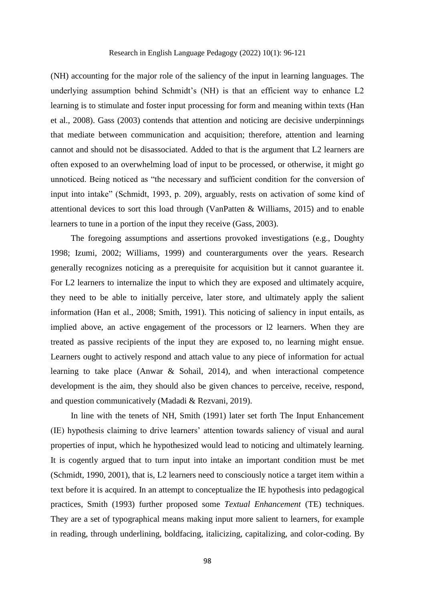(NH) accounting for the major role of the saliency of the input in learning languages. The underlying assumption behind Schmidt's (NH) is that an efficient way to enhance L2 learning is to stimulate and foster input processing for form and meaning within texts (Han et al., 2008). Gass (2003) contends that attention and noticing are decisive underpinnings that mediate between communication and acquisition; therefore, attention and learning cannot and should not be disassociated. Added to that is the argument that L2 learners are often exposed to an overwhelming load of input to be processed, or otherwise, it might go unnoticed. Being noticed as "the necessary and sufficient condition for the conversion of input into intake" (Schmidt, 1993, p. 209), arguably, rests on activation of some kind of attentional devices to sort this load through (VanPatten & Williams, 2015) and to enable learners to tune in a portion of the input they receive (Gass, 2003).

The foregoing assumptions and assertions provoked investigations (e.g., Doughty 1998; Izumi, 2002; Williams, 1999) and counterarguments over the years. Research generally recognizes noticing as a prerequisite for acquisition but it cannot guarantee it. For L2 learners to internalize the input to which they are exposed and ultimately acquire, they need to be able to initially perceive, later store, and ultimately apply the salient information (Han et al., 2008; Smith, 1991). This noticing of saliency in input entails, as implied above, an active engagement of the processors or l2 learners. When they are treated as passive recipients of the input they are exposed to, no learning might ensue. Learners ought to actively respond and attach value to any piece of information for actual learning to take place (Anwar & Sohail, 2014), and when interactional competence development is the aim, they should also be given chances to perceive, receive, respond, and question communicatively (Madadi & Rezvani, 2019).

In line with the tenets of NH, Smith (1991) later set forth The Input Enhancement (IE) hypothesis claiming to drive learners' attention towards saliency of visual and aural properties of input, which he hypothesized would lead to noticing and ultimately learning. It is cogently argued that to turn input into intake an important condition must be met (Schmidt, 1990, 2001), that is, L2 learners need to consciously notice a target item within a text before it is acquired. In an attempt to conceptualize the IE hypothesis into pedagogical practices, Smith (1993) further proposed some *Textual Enhancement* (TE) techniques. They are a set of typographical means making input more salient to learners, for example in reading, through underlining, boldfacing, italicizing, capitalizing, and color-coding. By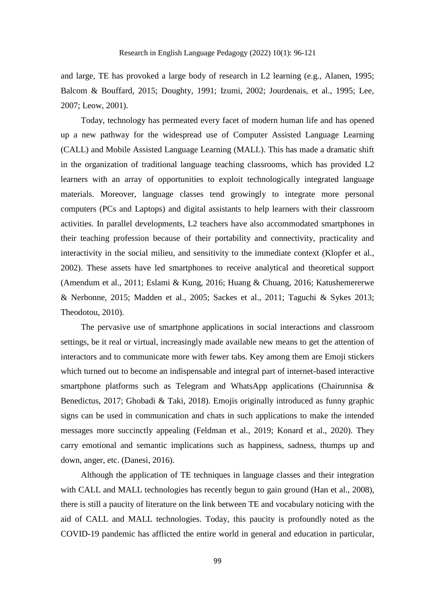and large, TE has provoked a large body of research in L2 learning (e.g., Alanen, 1995; Balcom & Bouffard, 2015; Doughty, 1991; Izumi, 2002; Jourdenais, et al., 1995; Lee, 2007; Leow, 2001).

Today, technology has permeated every facet of modern human life and has opened up a new pathway for the widespread use of Computer Assisted Language Learning (CALL) and Mobile Assisted Language Learning (MALL). This has made a dramatic shift in the organization of traditional language teaching classrooms, which has provided L2 learners with an array of opportunities to exploit technologically integrated language materials. Moreover, language classes tend growingly to integrate more personal computers (PCs and Laptops) and digital assistants to help learners with their classroom activities. In parallel developments, L2 teachers have also accommodated smartphones in their teaching profession because of their portability and connectivity, practicality and interactivity in the social milieu, and sensitivity to the immediate context (Klopfer et al., 2002). These assets have led smartphones to receive analytical and theoretical support (Amendum et al., 2011; Eslami & Kung, 2016; Huang & Chuang, 2016; Katushemererwe & Nerbonne, 2015; Madden et al., 2005; Sackes et al., 2011; Taguchi & Sykes 2013; Theodotou, 2010).

The pervasive use of smartphone applications in social interactions and classroom settings, be it real or virtual, increasingly made available new means to get the attention of interactors and to communicate more with fewer tabs. Key among them are Emoji stickers which turned out to become an indispensable and integral part of internet-based interactive smartphone platforms such as Telegram and WhatsApp applications (Chairunnisa & Benedictus, 2017; Ghobadi & Taki, 2018). Emojis originally introduced as funny graphic signs can be used in communication and chats in such applications to make the intended messages more succinctly appealing (Feldman et al., 2019; Konard et al., 2020). They carry emotional and semantic implications such as happiness, sadness, thumps up and down, anger, etc. (Danesi, 2016).

Although the application of TE techniques in language classes and their integration with CALL and MALL technologies has recently begun to gain ground (Han et al., 2008), there is still a paucity of literature on the link between TE and vocabulary noticing with the aid of CALL and MALL technologies. Today, this paucity is profoundly noted as the COVID-19 pandemic has afflicted the entire world in general and education in particular,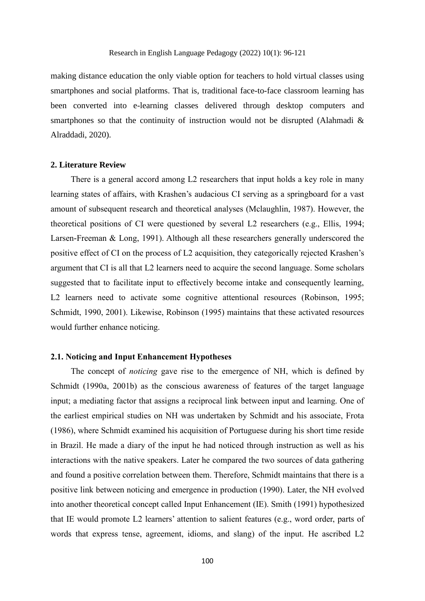making distance education the only viable option for teachers to hold virtual classes using smartphones and social platforms. That is, traditional face-to-face classroom learning has been converted into e-learning classes delivered through desktop computers and smartphones so that the continuity of instruction would not be disrupted (Alahmadi & Alraddadi, 2020).

#### **2. Literature Review**

There is a general accord among L2 researchers that input holds a key role in many learning states of affairs, with Krashen's audacious CI serving as a springboard for a vast amount of subsequent research and theoretical analyses (Mclaughlin, 1987). However, the theoretical positions of CI were questioned by several L2 researchers (e.g., Ellis, 1994; Larsen-Freeman & Long, 1991). Although all these researchers generally underscored the positive effect of CI on the process of L2 acquisition, they categorically rejected Krashen's argument that CI is all that L2 learners need to acquire the second language. Some scholars suggested that to facilitate input to effectively become intake and consequently learning, L2 learners need to activate some cognitive attentional resources (Robinson, 1995; Schmidt, 1990, 2001). Likewise, Robinson (1995) maintains that these activated resources would further enhance noticing.

# **2.1. Noticing and Input Enhancement Hypotheses**

The concept of *noticing* gave rise to the emergence of NH, which is defined by Schmidt (1990a, 2001b) as the conscious awareness of features of the target language input; a mediating factor that assigns a reciprocal link between input and learning. One of the earliest empirical studies on NH was undertaken by Schmidt and his associate, Frota (1986), where Schmidt examined his acquisition of Portuguese during his short time reside in Brazil. He made a diary of the input he had noticed through instruction as well as his interactions with the native speakers. Later he compared the two sources of data gathering and found a positive correlation between them. Therefore, Schmidt maintains that there is a positive link between noticing and emergence in production (1990). Later, the NH evolved into another theoretical concept called Input Enhancement (IE). Smith (1991) hypothesized that IE would promote L2 learners' attention to salient features (e.g., word order, parts of words that express tense, agreement, idioms, and slang) of the input. He ascribed L2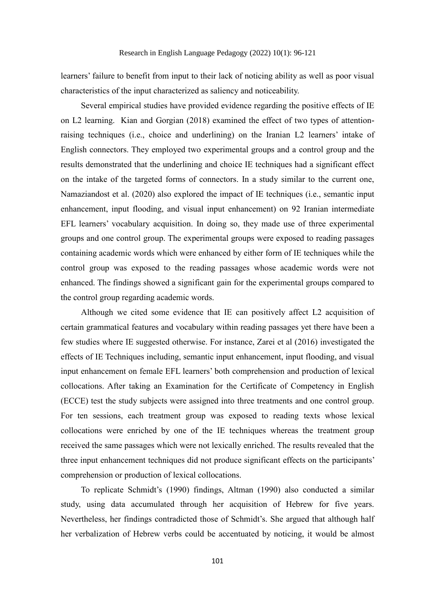learners' failure to benefit from input to their lack of noticing ability as well as poor visual characteristics of the input characterized as saliency and noticeability.

Several empirical studies have provided evidence regarding the positive effects of IE on L2 learning. Kian and Gorgian (2018) examined the effect of two types of attentionraising techniques (i.e., choice and underlining) on the Iranian L2 learners' intake of English connectors. They employed two experimental groups and a control group and the results demonstrated that the underlining and choice IE techniques had a significant effect on the intake of the targeted forms of connectors. In a study similar to the current one, Namaziandost et al. (2020) also explored the impact of IE techniques (i.e., semantic input enhancement, input flooding, and visual input enhancement) on 92 Iranian intermediate EFL learners' vocabulary acquisition. In doing so, they made use of three experimental groups and one control group. The experimental groups were exposed to reading passages containing academic words which were enhanced by either form of IE techniques while the control group was exposed to the reading passages whose academic words were not enhanced. The findings showed a significant gain for the experimental groups compared to the control group regarding academic words.

Although we cited some evidence that IE can positively affect L2 acquisition of certain grammatical features and vocabulary within reading passages yet there have been a few studies where IE suggested otherwise. For instance, Zarei et al (2016) investigated the effects of IE Techniques including, semantic input enhancement, input flooding, and visual input enhancement on female EFL learners' both comprehension and production of lexical collocations. After taking an Examination for the Certificate of Competency in English (ECCE) test the study subjects were assigned into three treatments and one control group. For ten sessions, each treatment group was exposed to reading texts whose lexical collocations were enriched by one of the IE techniques whereas the treatment group received the same passages which were not lexically enriched. The results revealed that the three input enhancement techniques did not produce significant effects on the participants' comprehension or production of lexical collocations.

To replicate Schmidt's (1990) findings, Altman (1990) also conducted a similar study, using data accumulated through her acquisition of Hebrew for five years. Nevertheless, her findings contradicted those of Schmidt's. She argued that although half her verbalization of Hebrew verbs could be accentuated by noticing, it would be almost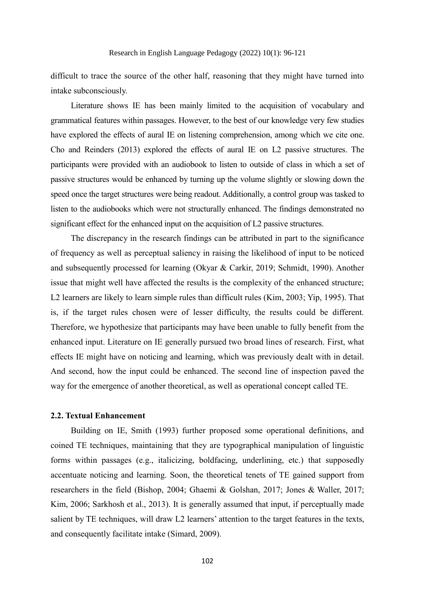difficult to trace the source of the other half, reasoning that they might have turned into intake subconsciously.

Literature shows IE has been mainly limited to the acquisition of vocabulary and grammatical features within passages. However, to the best of our knowledge very few studies have explored the effects of aural IE on listening comprehension, among which we cite one. Cho and Reinders (2013) explored the effects of aural IE on L2 passive structures. The participants were provided with an audiobook to listen to outside of class in which a set of passive structures would be enhanced by turning up the volume slightly or slowing down the speed once the target structures were being readout. Additionally, a control group was tasked to listen to the audiobooks which were not structurally enhanced. The findings demonstrated no significant effect for the enhanced input on the acquisition of L2 passive structures.

The discrepancy in the research findings can be attributed in part to the significance of frequency as well as perceptual saliency in raising the likelihood of input to be noticed and subsequently processed for learning (Okyar & Carkir, 2019; Schmidt, 1990). Another issue that might well have affected the results is the complexity of the enhanced structure; L2 learners are likely to learn simple rules than difficult rules (Kim, 2003; Yip, 1995). That is, if the target rules chosen were of lesser difficulty, the results could be different. Therefore, we hypothesize that participants may have been unable to fully benefit from the enhanced input. Literature on IE generally pursued two broad lines of research. First, what effects IE might have on noticing and learning, which was previously dealt with in detail. And second, how the input could be enhanced. The second line of inspection paved the way for the emergence of another theoretical, as well as operational concept called TE.

# **2.2. Textual Enhancement**

Building on IE, Smith (1993) further proposed some operational definitions, and coined TE techniques, maintaining that they are typographical manipulation of linguistic forms within passages (e.g., italicizing, boldfacing, underlining, etc.) that supposedly accentuate noticing and learning. Soon, the theoretical tenets of TE gained support from researchers in the field (Bishop, 2004; Ghaemi & Golshan, 2017; Jones & Waller, 2017; Kim, 2006; Sarkhosh et al., 2013). It is generally assumed that input, if perceptually made salient by TE techniques, will draw L2 learners' attention to the target features in the texts, and consequently facilitate intake (Simard, 2009).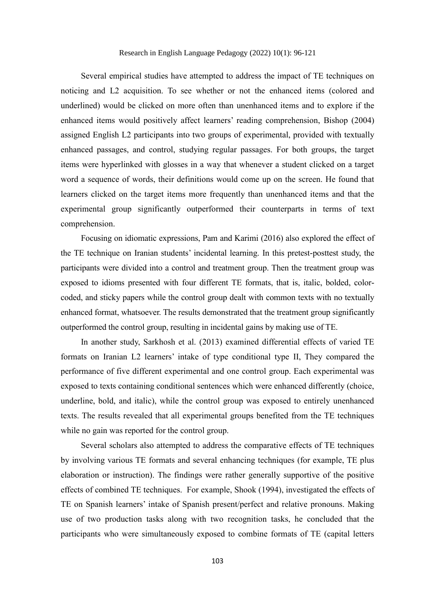Several empirical studies have attempted to address the impact of TE techniques on noticing and L2 acquisition. To see whether or not the enhanced items (colored and underlined) would be clicked on more often than unenhanced items and to explore if the enhanced items would positively affect learners' reading comprehension, Bishop (2004) assigned English L2 participants into two groups of experimental, provided with textually enhanced passages, and control, studying regular passages. For both groups, the target items were hyperlinked with glosses in a way that whenever a student clicked on a target word a sequence of words, their definitions would come up on the screen. He found that learners clicked on the target items more frequently than unenhanced items and that the experimental group significantly outperformed their counterparts in terms of text comprehension.

Focusing on idiomatic expressions, Pam and Karimi (2016) also explored the effect of the TE technique on Iranian students' incidental learning. In this pretest-posttest study, the participants were divided into a control and treatment group. Then the treatment group was exposed to idioms presented with four different TE formats, that is, italic, bolded, colorcoded, and sticky papers while the control group dealt with common texts with no textually enhanced format, whatsoever. The results demonstrated that the treatment group significantly outperformed the control group, resulting in incidental gains by making use of TE.

In another study, Sarkhosh et al. (2013) examined differential effects of varied TE formats on Iranian L2 learners' intake of type conditional type II, They compared the performance of five different experimental and one control group. Each experimental was exposed to texts containing conditional sentences which were enhanced differently (choice, underline, bold, and italic), while the control group was exposed to entirely unenhanced texts. The results revealed that all experimental groups benefited from the TE techniques while no gain was reported for the control group.

Several scholars also attempted to address the comparative effects of TE techniques by involving various TE formats and several enhancing techniques (for example, TE plus elaboration or instruction). The findings were rather generally supportive of the positive effects of combined TE techniques. For example, Shook (1994), investigated the effects of TE on Spanish learners' intake of Spanish present/perfect and relative pronouns. Making use of two production tasks along with two recognition tasks, he concluded that the participants who were simultaneously exposed to combine formats of TE (capital letters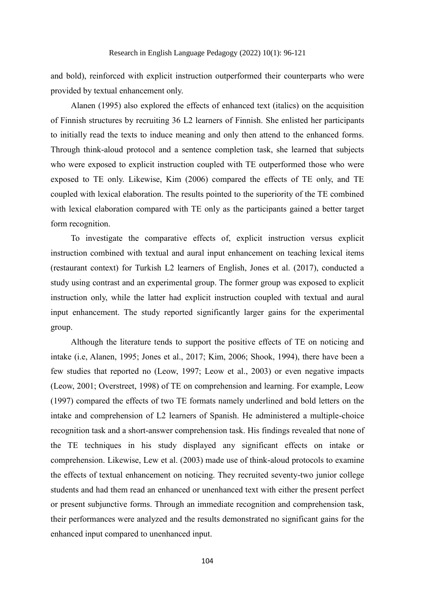and bold), reinforced with explicit instruction outperformed their counterparts who were provided by textual enhancement only.

Alanen (1995) also explored the effects of enhanced text (italics) on the acquisition of Finnish structures by recruiting 36 L2 learners of Finnish. She enlisted her participants to initially read the texts to induce meaning and only then attend to the enhanced forms. Through think-aloud protocol and a sentence completion task, she learned that subjects who were exposed to explicit instruction coupled with TE outperformed those who were exposed to TE only. Likewise, Kim (2006) compared the effects of TE only, and TE coupled with lexical elaboration. The results pointed to the superiority of the TE combined with lexical elaboration compared with TE only as the participants gained a better target form recognition.

To investigate the comparative effects of, explicit instruction versus explicit instruction combined with textual and aural input enhancement on teaching lexical items (restaurant context) for Turkish L2 learners of English, Jones et al. (2017), conducted a study using contrast and an experimental group. The former group was exposed to explicit instruction only, while the latter had explicit instruction coupled with textual and aural input enhancement. The study reported significantly larger gains for the experimental group.

Although the literature tends to support the positive effects of TE on noticing and intake (i.e, Alanen, 1995; Jones et al., 2017; Kim, 2006; Shook, 1994), there have been a few studies that reported no (Leow, 1997; Leow et al., 2003) or even negative impacts (Leow, 2001; Overstreet, 1998) of TE on comprehension and learning. For example, Leow (1997) compared the effects of two TE formats namely underlined and bold letters on the intake and comprehension of L2 learners of Spanish. He administered a multiple-choice recognition task and a short-answer comprehension task. His findings revealed that none of the TE techniques in his study displayed any significant effects on intake or comprehension. Likewise, Lew et al. (2003) made use of think-aloud protocols to examine the effects of textual enhancement on noticing. They recruited seventy-two junior college students and had them read an enhanced or unenhanced text with either the present perfect or present subjunctive forms. Through an immediate recognition and comprehension task, their performances were analyzed and the results demonstrated no significant gains for the enhanced input compared to unenhanced input.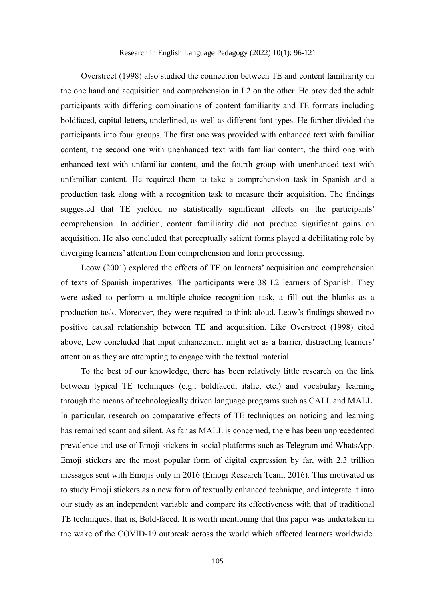Overstreet (1998) also studied the connection between TE and content familiarity on the one hand and acquisition and comprehension in L2 on the other. He provided the adult participants with differing combinations of content familiarity and TE formats including boldfaced, capital letters, underlined, as well as different font types. He further divided the participants into four groups. The first one was provided with enhanced text with familiar content, the second one with unenhanced text with familiar content, the third one with enhanced text with unfamiliar content, and the fourth group with unenhanced text with unfamiliar content. He required them to take a comprehension task in Spanish and a production task along with a recognition task to measure their acquisition. The findings suggested that TE yielded no statistically significant effects on the participants' comprehension. In addition, content familiarity did not produce significant gains on acquisition. He also concluded that perceptually salient forms played a debilitating role by diverging learners' attention from comprehension and form processing.

Leow (2001) explored the effects of TE on learners' acquisition and comprehension of texts of Spanish imperatives. The participants were 38 L2 learners of Spanish. They were asked to perform a multiple-choice recognition task, a fill out the blanks as a production task. Moreover, they were required to think aloud. Leow's findings showed no positive causal relationship between TE and acquisition. Like Overstreet (1998) cited above, Lew concluded that input enhancement might act as a barrier, distracting learners' attention as they are attempting to engage with the textual material.

To the best of our knowledge, there has been relatively little research on the link between typical TE techniques (e.g., boldfaced, italic, etc.) and vocabulary learning through the means of technologically driven language programs such as CALL and MALL. In particular, research on comparative effects of TE techniques on noticing and learning has remained scant and silent. As far as MALL is concerned, there has been unprecedented prevalence and use of Emoji stickers in social platforms such as Telegram and WhatsApp. Emoji stickers are the most popular form of digital expression by far, with 2.3 trillion messages sent with Emojis only in 2016 (Emogi Research Team, 2016). This motivated us to study Emoji stickers as a new form of textually enhanced technique, and integrate it into our study as an independent variable and compare its effectiveness with that of traditional TE techniques, that is, Bold-faced. It is worth mentioning that this paper was undertaken in the wake of the COVID-19 outbreak across the world which affected learners worldwide.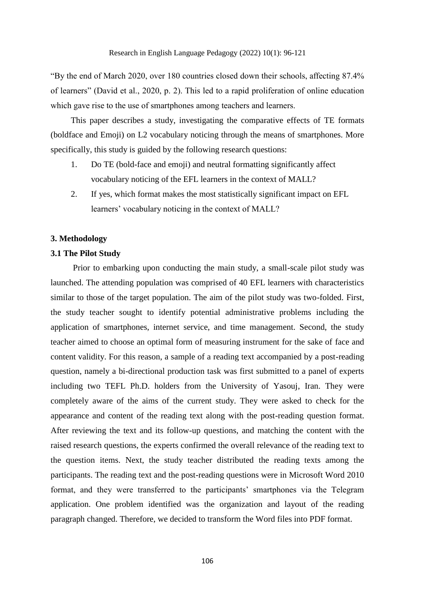"By the end of March 2020, over 180 countries closed down their schools, affecting 87.4% of learners" (David et al., 2020, p. 2). This led to a rapid proliferation of online education which gave rise to the use of smartphones among teachers and learners.

This paper describes a study, investigating the comparative effects of TE formats (boldface and Emoji) on L2 vocabulary noticing through the means of smartphones. More specifically, this study is guided by the following research questions:

- 1. Do TE (bold-face and emoji) and neutral formatting significantly affect vocabulary noticing of the EFL learners in the context of MALL?
- 2. If yes, which format makes the most statistically significant impact on EFL learners' vocabulary noticing in the context of MALL?

#### **3. Methodology**

### **3.1 The Pilot Study**

Prior to embarking upon conducting the main study, a small-scale pilot study was launched. The attending population was comprised of 40 EFL learners with characteristics similar to those of the target population. The aim of the pilot study was two-folded. First, the study teacher sought to identify potential administrative problems including the application of smartphones, internet service, and time management. Second, the study teacher aimed to choose an optimal form of measuring instrument for the sake of face and content validity. For this reason, a sample of a reading text accompanied by a post-reading question, namely a bi-directional production task was first submitted to a panel of experts including two TEFL Ph.D. holders from the University of Yasouj, Iran. They were completely aware of the aims of the current study. They were asked to check for the appearance and content of the reading text along with the post-reading question format. After reviewing the text and its follow-up questions, and matching the content with the raised research questions, the experts confirmed the overall relevance of the reading text to the question items. Next, the study teacher distributed the reading texts among the participants. The reading text and the post-reading questions were in Microsoft Word 2010 format, and they were transferred to the participants' smartphones via the Telegram application. One problem identified was the organization and layout of the reading paragraph changed. Therefore, we decided to transform the Word files into PDF format.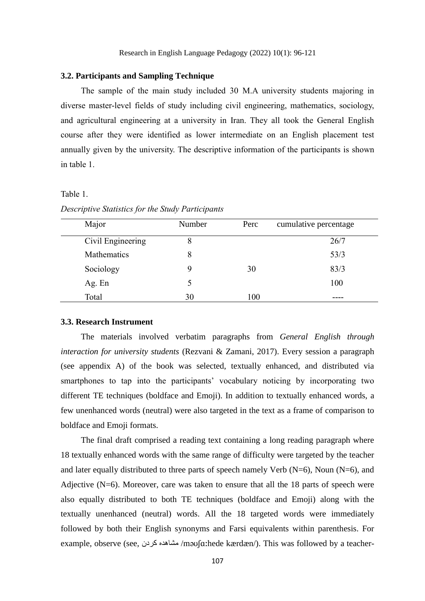#### **3.2. Participants and Sampling Technique**

The sample of the main study included 30 M.A university students majoring in diverse master-level fields of study including civil engineering, mathematics, sociology, and agricultural engineering at a university in Iran. They all took the General English course after they were identified as lower intermediate on an English placement test annually given by the university. The descriptive information of the participants is shown in table 1.

#### Table 1.

| Major             | Number | Perc | cumulative percentage |
|-------------------|--------|------|-----------------------|
| Civil Engineering | 8      |      | 26/7                  |
| Mathematics       | 8      |      | 53/3                  |
| Sociology         | 9      | 30   | 83/3                  |
| Ag. En            |        |      | 100                   |
| Total             | 30     | 100  |                       |

*Descriptive Statistics for the Study Participants*

#### **3.3. Research Instrument**

The materials involved verbatim paragraphs from *General English through interaction for university students* (Rezvani & Zamani, 2017). Every session a paragraph (see appendix A) of the book was selected, textually enhanced, and distributed via smartphones to tap into the participants' vocabulary noticing by incorporating two different TE techniques (boldface and Emoji). In addition to textually enhanced words, a few unenhanced words (neutral) were also targeted in the text as a frame of comparison to boldface and Emoji formats.

The final draft comprised a reading text containing a long reading paragraph where 18 textually enhanced words with the same range of difficulty were targeted by the teacher and later equally distributed to three parts of speech namely Verb  $(N=6)$ , Noun  $(N=6)$ , and Adjective  $(N=6)$ . Moreover, care was taken to ensure that all the 18 parts of speech were also equally distributed to both TE techniques (boldface and Emoji) along with the textually unenhanced (neutral) words. All the 18 targeted words were immediately followed by both their English synonyms and Farsi equivalents within parenthesis. For example, observe (see, کردن مشاهده /məʊʃɑːhede kærdæn/). This was followed by a teacher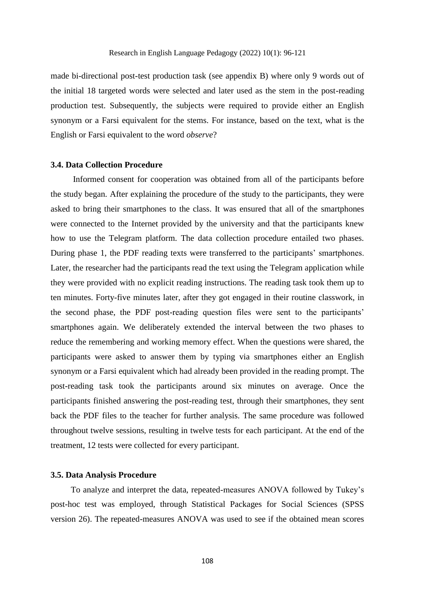made bi-directional post-test production task (see appendix B) where only 9 words out of the initial 18 targeted words were selected and later used as the stem in the post-reading production test. Subsequently, the subjects were required to provide either an English synonym or a Farsi equivalent for the stems. For instance, based on the text, what is the English or Farsi equivalent to the word *observe*?

#### **3.4. Data Collection Procedure**

Informed consent for cooperation was obtained from all of the participants before the study began. After explaining the procedure of the study to the participants, they were asked to bring their smartphones to the class. It was ensured that all of the smartphones were connected to the Internet provided by the university and that the participants knew how to use the Telegram platform. The data collection procedure entailed two phases. During phase 1, the PDF reading texts were transferred to the participants' smartphones. Later, the researcher had the participants read the text using the Telegram application while they were provided with no explicit reading instructions. The reading task took them up to ten minutes. Forty-five minutes later, after they got engaged in their routine classwork, in the second phase, the PDF post-reading question files were sent to the participants' smartphones again. We deliberately extended the interval between the two phases to reduce the remembering and working memory effect. When the questions were shared, the participants were asked to answer them by typing via smartphones either an English synonym or a Farsi equivalent which had already been provided in the reading prompt. The post-reading task took the participants around six minutes on average. Once the participants finished answering the post-reading test, through their smartphones, they sent back the PDF files to the teacher for further analysis. The same procedure was followed throughout twelve sessions, resulting in twelve tests for each participant. At the end of the treatment, 12 tests were collected for every participant.

#### **3.5. Data Analysis Procedure**

To analyze and interpret the data, repeated-measures ANOVA followed by Tukey's post-hoc test was employed, through Statistical Packages for Social Sciences (SPSS version 26). The repeated-measures ANOVA was used to see if the obtained mean scores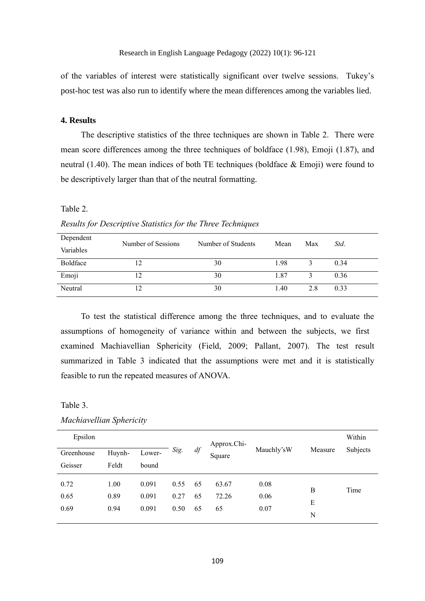of the variables of interest were statistically significant over twelve sessions. Tukey's post-hoc test was also run to identify where the mean differences among the variables lied.

#### **4. Results**

The descriptive statistics of the three techniques are shown in Table 2. There were mean score differences among the three techniques of boldface (1.98), Emoji (1.87), and neutral (1.40). The mean indices of both TE techniques (boldface  $\&$  Emoji) were found to be descriptively larger than that of the neutral formatting.

#### Table 2.

*Results for Descriptive Statistics for the Three Techniques*

| Dependent | Number of Sessions | Number of Students | Mean | Max | Std. |
|-----------|--------------------|--------------------|------|-----|------|
| Variables |                    |                    |      |     |      |
| Boldface  |                    | 30                 | 1.98 |     | 0.34 |
| Emoji     | 12                 | 30                 | 1.87 |     | 0.36 |
| Neutral   | 12                 | 30                 | 1.40 | 2.8 | 0.33 |

To test the statistical difference among the three techniques, and to evaluate the assumptions of homogeneity of variance within and between the subjects, we first examined Machiavellian Sphericity (Field, 2009; Pallant, 2007). The test result summarized in Table 3 indicated that the assumptions were met and it is statistically feasible to run the repeated measures of ANOVA.

#### Table 3.

| Epsilon              |                      |                         |                      |                | Approx.Chi-          |                      |             | Within   |
|----------------------|----------------------|-------------------------|----------------------|----------------|----------------------|----------------------|-------------|----------|
| Greenhouse           | Huynh-               | Lower-                  | Sig.                 | df             | Square               | Mauchly'sW           | Measure     | Subjects |
| Geisser              | Feldt                | bound                   |                      |                |                      |                      |             |          |
| 0.72<br>0.65<br>0.69 | 1.00<br>0.89<br>0.94 | 0.091<br>0.091<br>0.091 | 0.55<br>0.27<br>0.50 | 65<br>65<br>65 | 63.67<br>72.26<br>65 | 0.08<br>0.06<br>0.07 | В<br>E<br>N | Time     |

*Machiavellian Sphericity*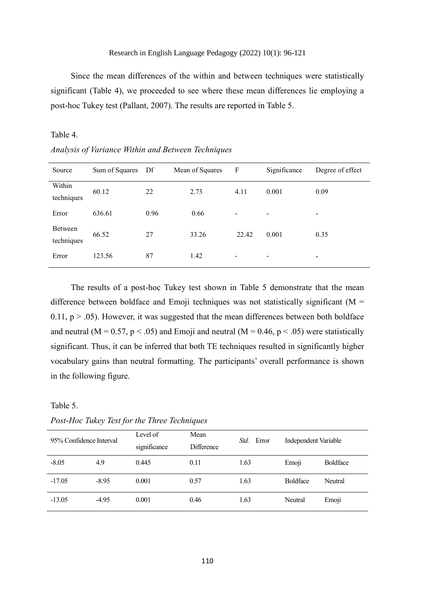Since the mean differences of the within and between techniques were statistically significant (Table 4), we proceeded to see where these mean differences lie employing a post-hoc Tukey test (Pallant, 2007). The results are reported in Table 5.

#### Table 4.

*Analysis of Variance Within and Between Techniques*

| Source                | Sum of Squares | Df   | Mean of Squares | F     | Significance | Degree of effect         |
|-----------------------|----------------|------|-----------------|-------|--------------|--------------------------|
| Within<br>techniques  | 60.12          | 22   | 2.73            | 4.11  | 0.001        | 0.09                     |
| Error                 | 636.61         | 0.96 | 0.66            | -     | ۰            | $\overline{\phantom{a}}$ |
| Between<br>techniques | 66.52          | 27   | 33.26           | 22.42 | 0.001        | 0.35                     |
| Error                 | 123.56         | 87   | 1.42            |       |              | ٠                        |

The results of a post-hoc Tukey test shown in Table 5 demonstrate that the mean difference between boldface and Emoji techniques was not statistically significant ( $M =$ 0.11,  $p > 0.05$ ). However, it was suggested that the mean differences between both boldface and neutral ( $M = 0.57$ ,  $p < .05$ ) and Emoji and neutral ( $M = 0.46$ ,  $p < .05$ ) were statistically significant. Thus, it can be inferred that both TE techniques resulted in significantly higher vocabulary gains than neutral formatting. The participants' overall performance is shown in the following figure.

## Table 5.

*Std.* Error Independent Variable Mean **Difference** Level of significance 95% Confidence Interval -8.05 4.9 0.445 0.11 1.63 Emoji Boldface -17.05 -8.95 0.001 0.57 1.63 Boldface Neutral -13.05 -4.95 0.001 0.46 1.63 Neutral Emoji

*Post-Hoc Tukey Test for the Three Techniques*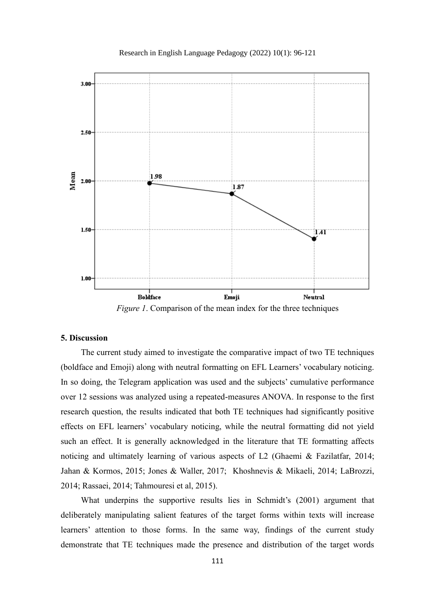



*Figure 1*. Comparison of the mean index for the three techniques

#### **5. Discussion**

The current study aimed to investigate the comparative impact of two TE techniques (boldface and Emoji) along with neutral formatting on EFL Learners' vocabulary noticing. In so doing, the Telegram application was used and the subjects' cumulative performance over 12 sessions was analyzed using a repeated-measures ANOVA. In response to the first research question, the results indicated that both TE techniques had significantly positive effects on EFL learners' vocabulary noticing, while the neutral formatting did not yield such an effect. It is generally acknowledged in the literature that TE formatting affects noticing and ultimately learning of various aspects of L2 (Ghaemi & Fazilatfar, 2014; Jahan & Kormos, 2015; Jones & Waller, 2017; Khoshnevis & Mikaeli, 2014; LaBrozzi, 2014; Rassaei, 2014; Tahmouresi et al, 2015).

What underpins the supportive results lies in Schmidt's (2001) argument that deliberately manipulating salient features of the target forms within texts will increase learners' attention to those forms. In the same way, findings of the current study demonstrate that TE techniques made the presence and distribution of the target words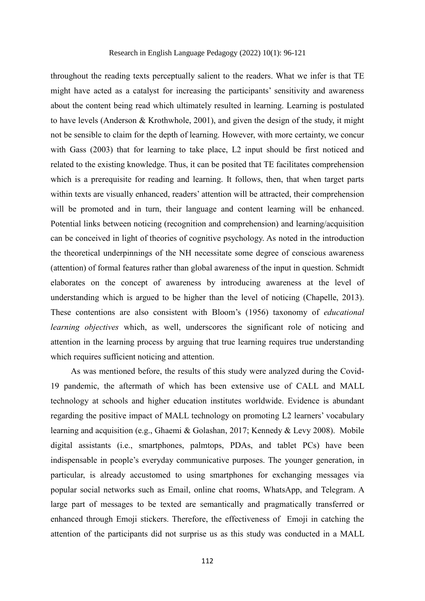throughout the reading texts perceptually salient to the readers. What we infer is that TE might have acted as a catalyst for increasing the participants' sensitivity and awareness about the content being read which ultimately resulted in learning. Learning is postulated to have levels (Anderson & Krothwhole, 2001), and given the design of the study, it might not be sensible to claim for the depth of learning. However, with more certainty, we concur with Gass (2003) that for learning to take place, L2 input should be first noticed and related to the existing knowledge. Thus, it can be posited that TE facilitates comprehension which is a prerequisite for reading and learning. It follows, then, that when target parts within texts are visually enhanced, readers' attention will be attracted, their comprehension will be promoted and in turn, their language and content learning will be enhanced. Potential links between noticing (recognition and comprehension) and learning/acquisition can be conceived in light of theories of cognitive psychology. As noted in the introduction the theoretical underpinnings of the NH necessitate some degree of conscious awareness (attention) of formal features rather than global awareness of the input in question. Schmidt elaborates on the concept of awareness by introducing awareness at the level of understanding which is argued to be higher than the level of noticing (Chapelle, 2013). These contentions are also consistent with Bloom's (1956) taxonomy of *educational learning objectives* which, as well, underscores the significant role of noticing and attention in the learning process by arguing that true learning requires true understanding which requires sufficient noticing and attention.

As was mentioned before, the results of this study were analyzed during the Covid-19 pandemic, the aftermath of which has been extensive use of CALL and MALL technology at schools and higher education institutes worldwide. Evidence is abundant regarding the positive impact of MALL technology on promoting L2 learners' vocabulary learning and acquisition (e.g., Ghaemi & Golashan, 2017; Kennedy & Levy 2008). Mobile digital assistants (i.e., smartphones, palmtops, PDAs, and tablet PCs) have been indispensable in people's everyday communicative purposes. The younger generation, in particular, is already accustomed to using smartphones for exchanging messages via popular social networks such as Email, online chat rooms, WhatsApp, and Telegram. A large part of messages to be texted are semantically and pragmatically transferred or enhanced through Emoji stickers. Therefore, the effectiveness of Emoji in catching the attention of the participants did not surprise us as this study was conducted in a MALL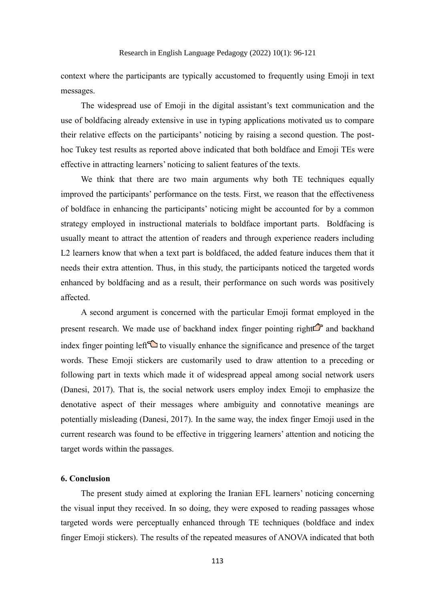context where the participants are typically accustomed to frequently using Emoji in text messages.

The widespread use of Emoji in the digital assistant's text communication and the use of boldfacing already extensive in use in typing applications motivated us to compare their relative effects on the participants' noticing by raising a second question. The posthoc Tukey test results as reported above indicated that both boldface and Emoji TEs were effective in attracting learners' noticing to salient features of the texts.

We think that there are two main arguments why both TE techniques equally improved the participants' performance on the tests. First, we reason that the effectiveness of boldface in enhancing the participants' noticing might be accounted for by a common strategy employed in instructional materials to boldface important parts. Boldfacing is usually meant to attract the attention of readers and through experience readers including L2 learners know that when a text part is boldfaced, the added feature induces them that it needs their extra attention. Thus, in this study, the participants noticed the targeted words enhanced by boldfacing and as a result, their performance on such words was positively affected.

A second argument is concerned with the particular Emoji format employed in the present research. We made use of backhand index finger pointing right $\mathbb G$  and backhand index finger pointing left $\bigcirc$  to visually enhance the significance and presence of the target words. These Emoji stickers are customarily used to draw attention to a preceding or following part in texts which made it of widespread appeal among social network users (Danesi, 2017). That is, the social network users employ index Emoji to emphasize the denotative aspect of their messages where ambiguity and connotative meanings are potentially misleading (Danesi, 2017). In the same way, the index finger Emoji used in the current research was found to be effective in triggering learners' attention and noticing the target words within the passages.

#### **6. Conclusion**

The present study aimed at exploring the Iranian EFL learners' noticing concerning the visual input they received. In so doing, they were exposed to reading passages whose targeted words were perceptually enhanced through TE techniques (boldface and index finger Emoji stickers). The results of the repeated measures of ANOVA indicated that both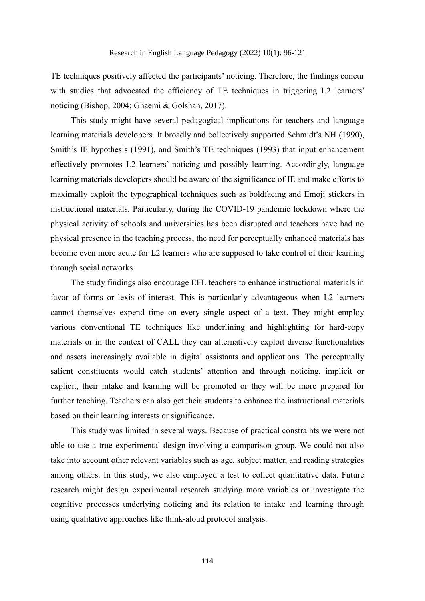TE techniques positively affected the participants' noticing. Therefore, the findings concur with studies that advocated the efficiency of TE techniques in triggering L2 learners' noticing (Bishop, 2004; Ghaemi & Golshan, 2017).

This study might have several pedagogical implications for teachers and language learning materials developers. It broadly and collectively supported Schmidt's NH (1990), Smith's IE hypothesis (1991), and Smith's TE techniques (1993) that input enhancement effectively promotes L2 learners' noticing and possibly learning. Accordingly, language learning materials developers should be aware of the significance of IE and make efforts to maximally exploit the typographical techniques such as boldfacing and Emoji stickers in instructional materials. Particularly, during the COVID-19 pandemic lockdown where the physical activity of schools and universities has been disrupted and teachers have had no physical presence in the teaching process, the need for perceptually enhanced materials has become even more acute for L2 learners who are supposed to take control of their learning through social networks.

The study findings also encourage EFL teachers to enhance instructional materials in favor of forms or lexis of interest. This is particularly advantageous when L2 learners cannot themselves expend time on every single aspect of a text. They might employ various conventional TE techniques like underlining and highlighting for hard-copy materials or in the context of CALL they can alternatively exploit diverse functionalities and assets increasingly available in digital assistants and applications. The perceptually salient constituents would catch students' attention and through noticing, implicit or explicit, their intake and learning will be promoted or they will be more prepared for further teaching. Teachers can also get their students to enhance the instructional materials based on their learning interests or significance.

This study was limited in several ways. Because of practical constraints we were not able to use a true experimental design involving a comparison group. We could not also take into account other relevant variables such as age, subject matter, and reading strategies among others. In this study, we also employed a test to collect quantitative data. Future research might design experimental research studying more variables or investigate the cognitive processes underlying noticing and its relation to intake and learning through using qualitative approaches like think-aloud protocol analysis.

114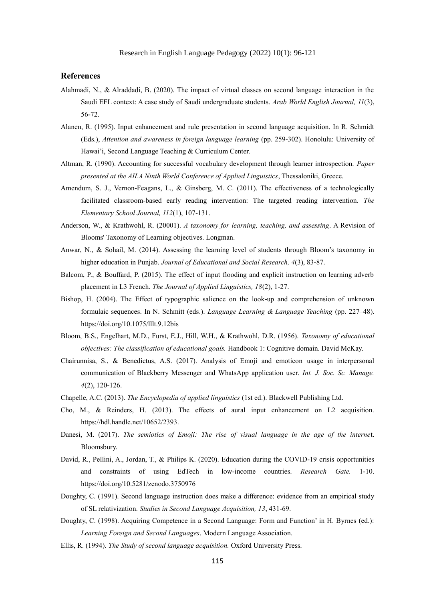#### **References**

- Alahmadi, N., & Alraddadi, B. (2020). The impact of virtual classes on second language interaction in the Saudi EFL context: A case study of Saudi undergraduate students. *Arab World English Journal, 11*(3), 56-72.
- Alanen, R. (1995). Input enhancement and rule presentation in second language acquisition. In R. Schmidt (Eds.), *Attention and awareness in foreign language learning* (pp. 259-302). Honolulu: University of Hawai'i, Second Language Teaching & Curriculum Center.
- Altman, R. (1990). Accounting for successful vocabulary development through learner introspection. *Paper presented at the AILA Ninth World Conference of Applied Linguistics*, Thessaloniki, Greece.
- Amendum, S. J., Vernon-Feagans, L., & Ginsberg, M. C. (2011). The effectiveness of a technologically facilitated classroom-based early reading intervention: The targeted reading intervention. *The Elementary School Journal, 112*(1), 107-131.
- Anderson, W., & Krathwohl, R. (20001). *A taxonomy for learning, teaching, and assessing*. A Revision of Blooms' Taxonomy of Learning objectives. Longman.
- Anwar, N., & Sohail, M. (2014). Assessing the learning level of students through Bloom's taxonomy in higher education in Punjab. *Journal of Educational and Social Research, 4*(3), 83-87.
- Balcom, P., & Bouffard, P. (2015). The effect of input flooding and explicit instruction on learning adverb placement in L3 French. *The Journal of Applied Linguistics, 18*(2), 1-27.
- Bishop, H. (2004). The Effect of typographic salience on the look-up and comprehension of unknown formulaic sequences. In N. Schmitt (eds.). *[Language Learning & Language Teaching](https://benjamins.com/catalog/lllt)* (pp. 227–48). https://doi.org/10.1075/lllt.9.12bis
- Bloom, B.S., Engelhart, M.D., Furst, E.J., Hill, W.H., & Krathwohl, D.R. (1956). *Taxonomy of educational objectives: The classification of educational goals.* Handbook 1: Cognitive domain. David McKay.
- Chairunnisa, S., & Benedictus, A.S. (2017). Analysis of Emoji and emoticon usage in interpersonal communication of Blackberry Messenger and WhatsApp application user. *Int. J. Soc. Sc. Manage. 4*(2), 120-126.
- Chapelle, A.C. (2013). *The Encyclopedia of applied linguistics* (1st ed.). Blackwell Publishing Ltd.
- Cho, M., & Reinders, H. (2013). The effects of aural input enhancement on L2 acquisition. https://hdl.handle.net/10652/2393.
- Danesi, M. (2017). *The semiotics of Emoji: The rise of visual language in the age of the interne*t. Bloomsbury.
- David, R., Pellini, A., Jordan, T., & Philips K. (2020). Education during the COVID-19 crisis opportunities and constraints of using EdTech in low-income countries. *Research Gate.* 1-10. https://doi.org/10.5281/zenodo.3750976
- Doughty, C. (1991). Second language instruction does make a difference: evidence from an empirical study of SL relativization. *Studies in Second Language Acquisition, 13*, 431-69.
- Doughty, C. (1998). Acquiring Competence in a Second Language: Form and Function' in H. Byrnes (ed.): *Learning Foreign and Second Languages*. Modern Language Association.
- Ellis, R. (1994). *The Study of second language acquisition.* Oxford University Press.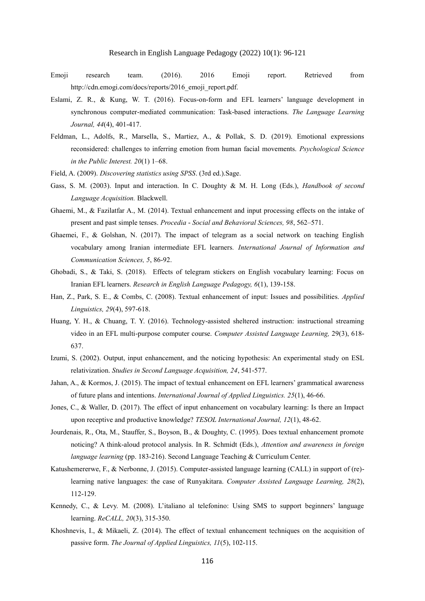- Emoji research team. (2016). 2016 Emoji report. Retrieved from http://cdn.emogi.com/docs/reports/2016\_emoji\_report.pdf.
- Eslami, Z. R., & Kung, W. T. (2016). Focus-on-form and EFL learners' language development in synchronous computer-mediated communication: Task-based interactions. *The Language Learning Journal, 44*(4), 401-417.
- Feldman, L., Adolfs, R., Marsella, S., Martiez, A., & Pollak, S. D. (2019). Emotional expressions reconsidered: challenges to inferring emotion from human facial movements. *Psychological Science in the Public Interest. 20*(1) 1–68.
- Field, A. (2009). *Discovering statistics using SPSS*. (3rd ed.).Sage.
- Gass, S. M. (2003). Input and interaction. In C. Doughty & M. H. Long (Eds.), *Handbook of second Language Acquisition.* Blackwell.
- Ghaemi, M., & Fazilatfar A., M. (2014). Textual enhancement and input processing effects on the intake of present and past simple tenses. *Procedia - Social and Behavioral Sciences, 98*, 562–571.
- Ghaemei, F., & Golshan, N. (2017). The impact of telegram as a social network on teaching English vocabulary among Iranian intermediate EFL learners*. International Journal of Information and Communication Sciences, 5*, 86-92.
- Ghobadi, S., & Taki, S. (2018). Effects of telegram stickers on English vocabulary learning: Focus on Iranian EFL learners. *Research in English Language Pedagogy, 6*(1), 139-158.
- Han, Z., Park, S. E., & Combs, C. (2008). Textual enhancement of input: Issues and possibilities. *Applied Linguistics, 29*(4), 597-618.
- Huang, Y. H., & Chuang, T. Y. (2016). Technology-assisted sheltered instruction: instructional streaming video in an EFL multi-purpose computer course. *Computer Assisted Language Learning,* 29(3), 618- 637.
- Izumi, S. (2002). Output, input enhancement, and the noticing hypothesis: An experimental study on ESL relativization. *Studies in Second Language Acquisition, 24*, 541-577.
- Jahan, A., & Kormos, J. (2015). The impact of textual enhancement on EFL learners' grammatical awareness of future plans and intentions. *International Journal of Applied Linguistics. 25*(1), 46-66.
- Jones, C., & Waller, D. (2017). The effect of input enhancement on vocabulary learning: Is there an Impact upon receptive and productive knowledge? *TESOL International Journal, 12*(1), 48-62.
- Jourdenais, R., Ota, M., Stauffer, S., Boyson, B., & Doughty, C. (1995). Does textual enhancement promote noticing? A think-aloud protocol analysis. In R. Schmidt (Eds.), *Attention and awareness in foreign language learning* (pp. 183-216). Second Language Teaching & Curriculum Center.
- Katushemererwe, F., & Nerbonne, J. (2015). Computer-assisted language learning (CALL) in support of (re) learning native languages: the case of Runyakitara. *Computer Assisted Language Learning, 28*(2), 112-129.
- Kennedy, C., & Levy. M. (2008). L'italiano al telefonino: Using SMS to support beginners' language learning. *ReCALL, 20*(3), 315-350.
- Khoshnevis, I., & Mikaeli, Z. (2014). The effect of textual enhancement techniques on the acquisition of passive form. *The Journal of Applied Linguistics, 11*(5), 102-115.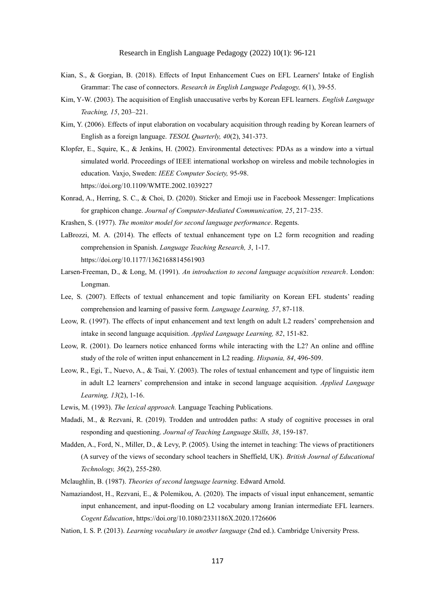- Kian, S., & Gorgian, B. (2018). Effects of Input Enhancement Cues on EFL Learners' Intake of English Grammar: The case of connectors. *Research in English Language Pedagogy, 6*(1), 39-55.
- Kim, Y-W. (2003). The acquisition of English unaccusative verbs by Korean EFL learners. *English Language Teaching, 15*, 203–221.
- Kim, Y. (2006). Effects of input elaboration on vocabulary acquisition through reading by Korean learners of English as a foreign language. *TESOL Quarterly, 40*(2), 341-373.
- Klopfer, E., Squire, K., & Jenkins, H. (2002). Environmental detectives: PDAs as a window into a virtual simulated world. Proceedings of IEEE international workshop on wireless and mobile technologies in education. Vaxjo, Sweden: *IEEE Computer Society,* 95-98. https://doi.org/10.1109/WMTE.2002.1039227
- Konrad, A., Herring, S. C., & Choi, D. (2020). Sticker and Emoji use in Facebook Messenger: Implications for graphicon change. *Journal of Computer-Mediated Communication, 25*, 217–235.
- Krashen, S. (1977). *The monitor model for second language performance*. Regents.
- LaBrozzi, M. A. (2014). The effects of textual enhancement type on L2 form recognition and reading comprehension in Spanish. *Language Teaching Research, 3*, 1-17. https://doi.org/10.1177/1362168814561903
- Larsen-Freeman, D., & Long, M. (1991). *An introduction to second language acquisition research*. London: Longman.
- Lee, S. (2007). Effects of textual enhancement and topic familiarity on Korean EFL students' reading comprehension and learning of passive form. *Language Learning, 57*, 87-118.
- Leow, R. (1997). The effects of input enhancement and text length on adult L2 readers' comprehension and intake in second language acquisition. *Applied Language Learning, 82*, 151-82.
- Leow, R. (2001). Do learners notice enhanced forms while interacting with the L2? An online and offline study of the role of written input enhancement in L2 reading. *Hispania, 84*, 496-509.
- Leow, R., Egi, T., Nuevo, A., & Tsai, Y. (2003). The roles of textual enhancement and type of linguistic item in adult L2 learners' comprehension and intake in second language acquisition. *Applied Language Learning, 13*(2), 1-16.
- Lewis, M. (1993). *The lexical approach.* Language Teaching Publications.
- Madadi, M., & Rezvani, R. (2019). Trodden and untrodden paths: A study of cognitive processes in oral responding and questioning. *Journal of Teaching Language Skills, 38*, 159-187.
- Madden, A., Ford, N., Miller, D., & Levy, P. (2005). Using the internet in teaching: The views of practitioners (A survey of the views of secondary school teachers in Sheffield, UK). *British Journal of Educational Technology, 36*(2), 255-280.
- Mclaughlin, B. (1987). *Theories of second language learning*. Edward Arnold.
- Namaziandost, H., Rezvani, E., & Polemikou, A. (2020). The impacts of visual input enhancement, semantic input enhancement, and input-flooding on L2 vocabulary among Iranian intermediate EFL learners. *Cogent Education*, https://doi.org/10.1080/2331186X.2020.1726606
- Nation, I. S. P. (2013). *Learning vocabulary in another language* (2nd ed.). Cambridge University Press.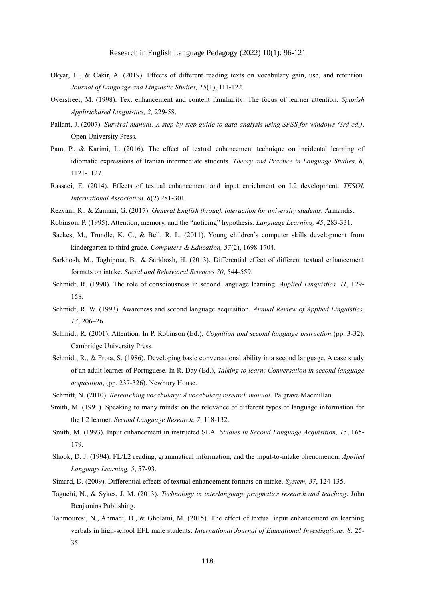- Okyar, H., & Cakir, A. (2019). Effects of different reading texts on vocabulary gain, use, and retention*. Journal of Language and Linguistic Studies, 15*(1), 111-122.
- Overstreet, M. (1998). Text enhancement and content familiarity: The focus of learner attention. *Spanish Applirichared Linguistics, 2,* 229-58.
- Pallant, J. (2007). *Survival manual: A step-by-step guide to data analysis using SPSS for windows (3rd ed.)*. Open University Press.
- Pam, P., & Karimi, L. (2016). The effect of textual enhancement technique on incidental learning of idiomatic expressions of Iranian intermediate students. *Theory and Practice in Language Studies, 6*, 1121-1127.
- Rassaei, E. (2014). Effects of textual enhancement and input enrichment on L2 development. *TESOL International Association, 6*(2) 281-301.
- Rezvani, R., & Zamani, G. (2017). *General English through interaction for university students.* Armandis.
- Robinson, P. (1995). Attention, memory, and the "noticing" hypothesis. *Language Learning, 45*, 283-331.
- Sackes, M., Trundle, K. C., & Bell, R. L. (2011). Young children's computer skills development from kindergarten to third grade. *Computers & Education, 57*(2), 1698-1704.
- Sarkhosh, M., Taghipour, B., & Sarkhosh, H. (2013). Differential effect of different textual enhancement formats on intake. *Social and Behavioral Sciences 70*, 544-559.
- Schmidt, R. (1990). The role of consciousness in second language learning. *Applied Linguistics, 11*, 129- 158.
- Schmidt, R. W. (1993). Awareness and second language acquisition. *Annual Review of Applied Linguistics, 13*, 206–26.
- Schmidt, R. (2001). Attention. In P. Robinson (Ed.), *Cognition and second language instruction* (pp. 3-32). Cambridge University Press.
- Schmidt, R., & Frota, S. (1986). Developing basic conversational ability in a second language. A case study of an adult learner of Portuguese. In R. Day (Ed.), *Talking to learn: Conversation in second language acquisition*, (pp. 237-326). Newbury House.
- Schmitt, N. (2010). *Researching vocabulary: A vocabulary research manual*. Palgrave Macmillan.
- Smith, M. (1991). Speaking to many minds: on the relevance of different types of language information for the L2 learner. *Second Language Research, 7*, 118-132.
- Smith, M. (1993). Input enhancement in instructed SLA. *Studies in Second Language Acquisition, 15*, 165- 179.
- Shook, D. J. (1994). FL/L2 reading, grammatical information, and the input-to-intake phenomenon. *Applied Language Learning, 5*, 57-93.
- Simard, D. (2009). Differential effects of textual enhancement formats on intake. *System, 37*, 124-135.
- Taguchi, N., & Sykes, J. M. (2013). *Technology in interlanguage pragmatics research and teaching*. John Benjamins Publishing.
- Tahmouresi, N., Ahmadi, D., & Gholami, M. (2015). The effect of textual input enhancement on learning verbals in high-school EFL male students. *International Journal of Educational Investigations. 8*, 25- 35.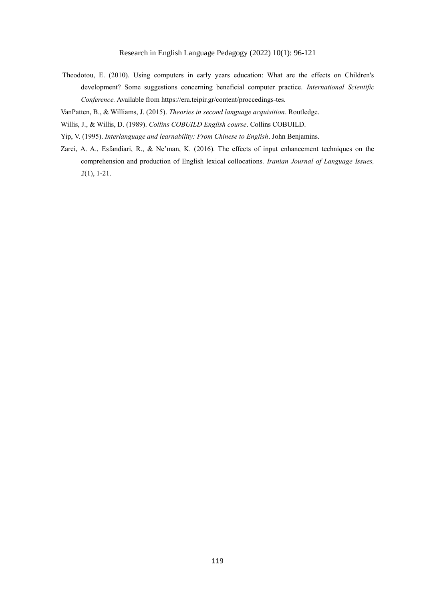- Theodotou, E. (2010). Using computers in early years education: What are the effects on Children's development? Some suggestions concerning beneficial computer practice. *International Scientific Conference.* Available from https://era.teipir.gr/content/proccedings-tes.
- VanPatten, B., & Williams, J. (2015). *Theories in second language acquisition*. Routledge.
- Willis, J., & Willis, D. (1989). *Collins COBUILD English course*. Collins COBUILD.
- Yip, V. (1995). *Interlanguage and learnability: From Chinese to English*. John Benjamins.
- Zarei, A. A., Esfandiari, R., & Ne'man, K. (2016). The effects of input enhancement techniques on the comprehension and production of English lexical collocations. *Iranian Journal of Language Issues, 2*(1), 1-21.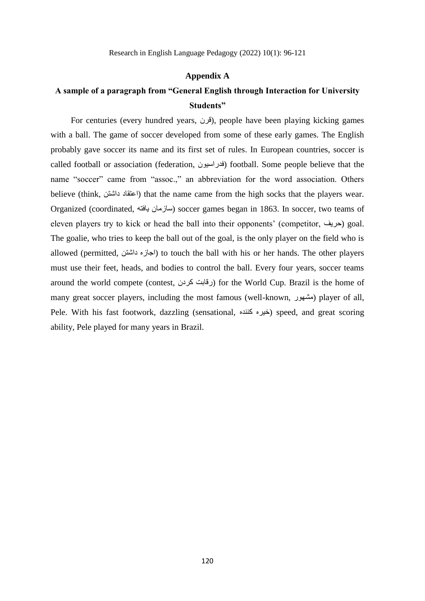#### **Appendix A**

# **A sample of a paragraph from "General English through Interaction for University Students"**

For centuries (every hundred years, قرن), people have been playing kicking games with a ball. The game of soccer developed from some of these early games. The English probably gave soccer its name and its first set of rules. In European countries, soccer is called football or association (federation, فدراسیون (football. Some people believe that the name "soccer" came from "assoc.," an abbreviation for the word association. Others believe (think, داشتن اعتقاد (that the name came from the high socks that the players wear. Organized (coordinated, یافته سازمان (soccer games began in 1863. In soccer, two teams of eleven players try to kick or head the ball into their opponents' (competitor, حریف (goal. The goalie, who tries to keep the ball out of the goal, is the only player on the field who is allowed (permitted, داشتن اجازه (to touch the ball with his or her hands. The other players must use their feet, heads, and bodies to control the ball. Every four years, soccer teams around the world compete (contest, رقابت كردن) for the World Cup. Brazil is the home of many great soccer players, including the most famous (well-known, مشهور) player of all, Pele. With his fast footwork, dazzling (sensational, خیره کننده) speed, and great scoring ability, Pele played for many years in Brazil.